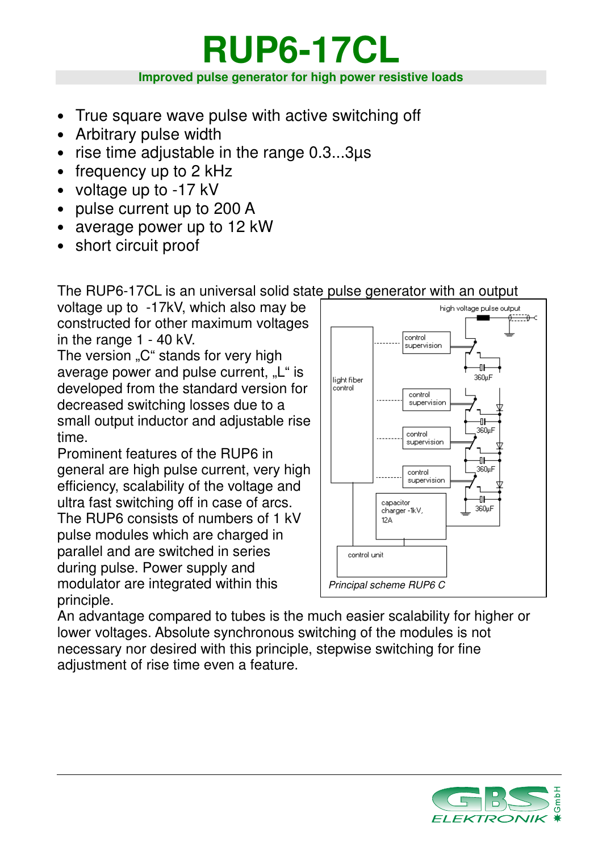# **RUP6-17CL Improved pulse generator for high power resistive loads**

- True square wave pulse with active switching off
- Arbitrary pulse width
- rise time adjustable in the range 0.3...3µs
- frequency up to 2 kHz
- voltage up to -17 kV
- pulse current up to 200 A
- average power up to 12 kW
- short circuit proof

The RUP6-17CL is an universal solid state pulse generator with an output

voltage up to -17kV, which also may be constructed for other maximum voltages in the range 1 - 40 kV.

The version "C" stands for very high average power and pulse current, "L" is developed from the standard version for decreased switching losses due to a small output inductor and adjustable rise time.

Prominent features of the RUP6 in general are high pulse current, very high efficiency, scalability of the voltage and ultra fast switching off in case of arcs. The RUP6 consists of numbers of 1 kV pulse modules which are charged in parallel and are switched in series during pulse. Power supply and modulator are integrated within this principle.



An advantage compared to tubes is the much easier scalability for higher or lower voltages. Absolute synchronous switching of the modules is not necessary nor desired with this principle, stepwise switching for fine adjustment of rise time even a feature.